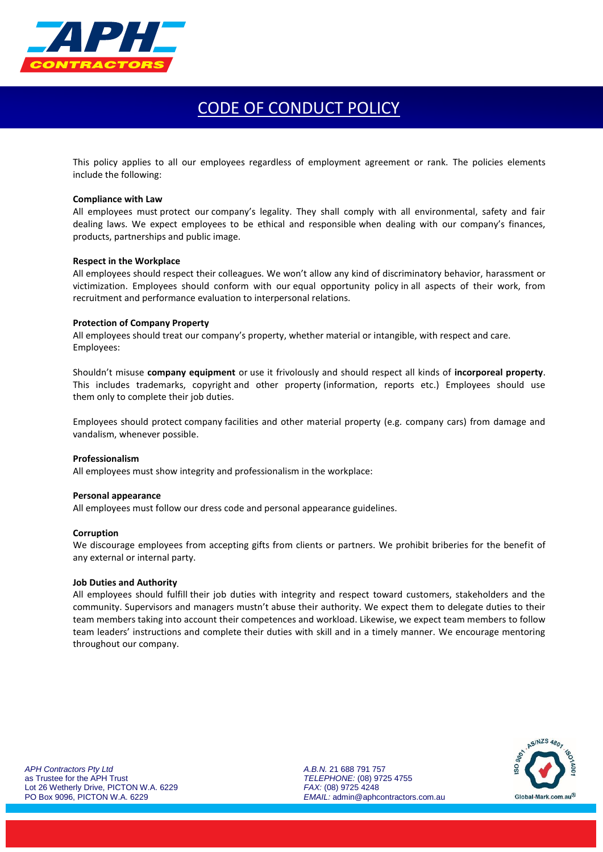

# CODE OF CONDUCT POLICY

This policy applies to all our employees regardless of employment agreement or rank. The policies elements include the following:

# **Compliance with Law**

All employees must protect our company's legality. They shall comply with all environmental, safety and fair dealing laws. We expect employees to be ethical and responsible when dealing with our company's finances, products, partnerships and public image.

# **Respect in the Workplace**

All employees should respect their colleagues. We won't allow any kind of discriminatory behavior, [harassment](https://resources.workable.com/workplace-harassment-company-policy) or victimization. Employees should conform with our [equal opportunity policy](https://resources.workable.com/equal-opportunity-company-policy) in all aspects of their work, from recruitment and performance evaluation to interpersonal relations.

### **Protection of Company Property**

All employees should treat our company's property, whether material or intangible, with respect and care. Employees:

Shouldn't misuse **company equipment** or use it frivolously and should respect all kinds of **incorporeal property**. This includes trademarks, copyright and other property (information, reports etc.) Employees should use them only to complete their job duties.

Employees should protect company facilities and other material property (e.g. [company](https://resources.workable.com/company-car-policy) cars) from damage and vandalism, whenever possible.

# **Professionalism**

All employees must sho[w integrity](https://resources.workable.com/tutorial/employee-integrity-tests) and professionalism in the workplace:

#### **Personal appearance**

All employees must [follow our dress code](https://resources.workable.com/dress-code-company-policy) and personal appearance guidelines.

# **Corruption**

We discourage employees from accepting gifts from clients or partners. We prohibit briberies for the benefit of any external or internal party.

### **Job Duties and Authority**

All employees should fulfill their job duties with integrity and respect toward customers, stakeholders and the community. Supervisors and managers mustn't abuse their authority. We expect them to delegate duties to their team members taking into account their competences and workload. Likewise, we expect team members to follow team leaders' instructions and complete their duties with skill and in a timely manner. We encourage mentoring throughout our company.

Global-Mark.com.au®

*APH Contractors Pty Ltd* as Trustee for the APH Trust Lot 26 Wetherly Drive, PICTON W.A. 6229 PO Box 9096, PICTON W.A. 6229

*A.B.N.* 21 688 791 757 *TELEPHONE:* (08) 9725 4755 *FAX:* (08) 9725 4248 *EMAIL:* admin@aphcontractors.com.au